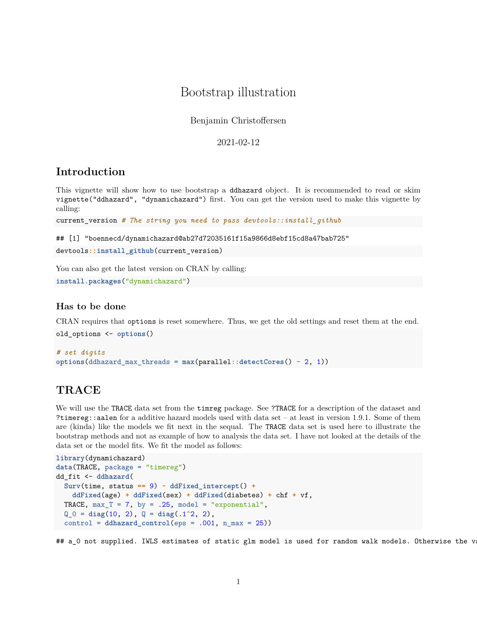## Bootstrap illustration

Benjamin Christoffersen

2021-02-12

## **Introduction**

This vignette will show how to use bootstrap a ddhazard object. It is recommended to read or skim vignette("ddhazard", "dynamichazard") first. You can get the version used to make this vignette by calling:

current\_version *# The string you need to pass devtools::install\_github*

## [1] "boennecd/dynamichazard@ab27d72035161f15a9866d8ebf15cd8a47bab725"

devtools**::install\_github**(current\_version)

You can also get the latest version on CRAN by calling:

**install.packages**("dynamichazard")

#### **Has to be done**

CRAN requires that options is reset somewhere. Thus, we get the old settings and reset them at the end. old\_options <- **options**()

```
# set digits
options(ddhazard_max_threads = max(parallel::detectCores() - 2, 1))
```
## **TRACE**

We will use the TRACE data set from the timreg package. See ?TRACE for a description of the dataset and ?timereg::aalen for a additive hazard models used with data set – at least in version 1.9.1. Some of them are (kinda) like the models we fit next in the sequal. The TRACE data set is used here to illustrate the bootstrap methods and not as example of how to analysis the data set. I have not looked at the details of the data set or the model fits. We fit the model as follows:

```
library(dynamichazard)
data(TRACE, package = "timereg")
dd_fit <- ddhazard(
  Surv(time, status == 9) ~ ddFixed_intercept() +
   ddFixed(age) + ddFixed(sex) + ddFixed(diabetes) + chf + vf,
  TRACE, max_T = 7, by = .25, model = "exponential",
  Q_0 = diag(10, 2), Q = diag(.1^2, 2),
  control = ddhazard_control(eps = .001, n_max = 25))
```
## a 0 not supplied. IWLS estimates of static glm model is used for random walk models. Otherwise the v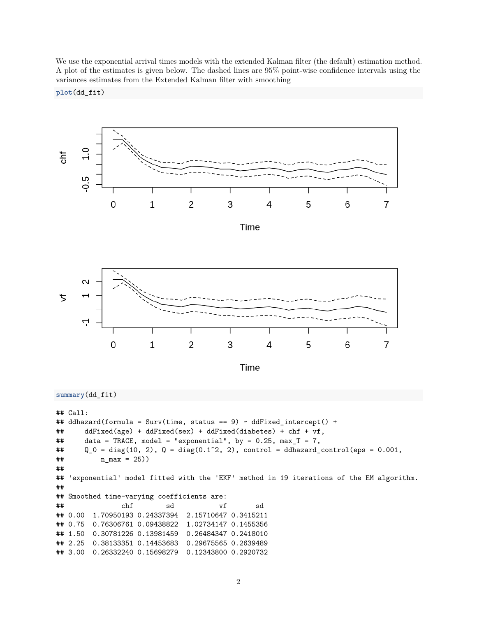We use the exponential arrival times models with the extended Kalman filter (the default) estimation method. A plot of the estimates is given below. The dashed lines are 95% point-wise confidence intervals using the variances estimates from the Extended Kalman filter with smoothing





```
summary(dd_fit)
```

```
## Call:
## ddhazard(formula = Surv(time, status == 9) ~ ddFixed_intercept() +
## ddFixed(age) + ddFixed(sex) + ddFixed(diabetes) + chf + vf,
## data = TRACE, model = "exponential", by = 0.25, max_T = 7,
## Q_0 = diag(10, 2), Q = diag(0.1^2, 2), control = ddhazard_countrol(eps = 0.001,## n_max = 25))
##
## 'exponential' model fitted with the 'EKF' method in 19 iterations of the EM algorithm.
##
## Smoothed time-varying coefficients are:
## chf sd vf sd
## 0.00 1.70950193 0.24337394 2.15710647 0.3415211
## 0.75 0.76306761 0.09438822 1.02734147 0.1455356
## 1.50 0.30781226 0.13981459 0.26484347 0.2418010
## 2.25 0.38133351 0.14453683 0.29675565 0.2639489
## 3.00 0.26332240 0.15698279 0.12343800 0.2920732
```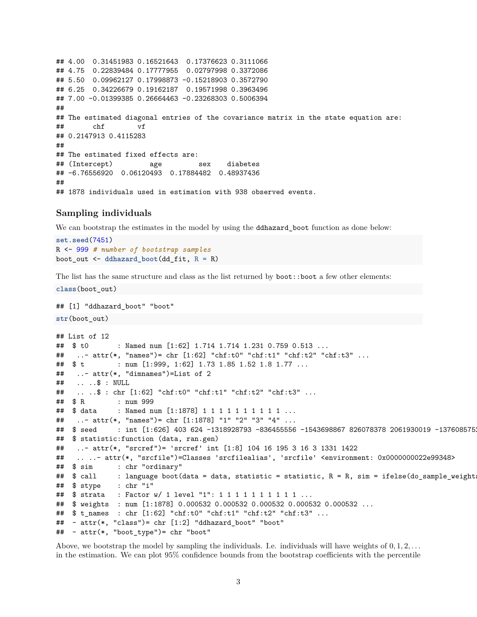## 4.00 0.31451983 0.16521643 0.17376623 0.3111066 ## 4.75 0.22839484 0.17777955 0.02797998 0.3372086 ## 5.50 0.09962127 0.17998873 -0.15218903 0.3572790 ## 6.25 0.34226679 0.19162187 0.19571998 0.3963496 ## 7.00 -0.01399385 0.26664463 -0.23268303 0.5006394 ## ## The estimated diagonal entries of the covariance matrix in the state equation are: ## chf vf ## 0.2147913 0.4115283 ## ## The estimated fixed effects are: ## (Intercept) age sex diabetes ## -6.76556920 0.06120493 0.17884482 0.48937436 ## ## 1878 individuals used in estimation with 938 observed events.

#### **Sampling individuals**

We can bootstrap the estimates in the model by using the **ddhazard** boot function as done below:

```
set.seed(7451)
R <- 999 # number of bootstrap samples
boot_out <- ddhazard_boot(dd_fit, R = R)
```
The list has the same structure and class as the list returned by **boot::boot** a few other elements:

```
class(boot_out)
## [1] "ddhazard_boot" "boot"
str(boot_out)
## List of 12
## $ t0 : Named num [1:62] 1.714 1.714 1.231 0.759 0.513 ...
## ..- attr(*, "names")= chr [1:62] "chf:t0" "chf:t1" "chf:t2" "chf:t3" ...
## $ t : num [1:999, 1:62] 1.73 1.85 1.52 1.8 1.77 ...
## ..- attr(*, "dimnames")=List of 2
## .. ..$ : NULL
## .. ..$ : chr [1:62] "chf:t0" "chf:t1" "chf:t2" "chf:t3" ...
## $ R : num 999
## $ data : Named num [1:1878] 1 1 1 1 1 1 1 1 1 1 ...
## ..- attr(*, "names")= chr [1:1878] "1" "2" "3" "4" ...
## $ seed : int [1:626] 403 624 -1318928793 -836455556 -1543698867 826078378 2061930019 -1376085752
## $ statistic:function (data, ran.gen)
## ..- attr(*, "srcref")= 'srcref' int [1:8] 104 16 195 3 16 3 1331 1422
## .. ..- attr(*, "srcfile")=Classes 'srcfilealias', 'srcfile' <environment: 0x0000000022e99348>
## $ sim : chr "ordinary"
## $ call : language boot(data = data, statistic = statistic, R = R, sim = ifelse(do_sample_weight
## $ stype : chr "i"
## $ strata : Factor w/ 1 level "1": 1 1 1 1 1 1 1 1 1 1 ...
## $ weights : num [1:1878] 0.000532 0.000532 0.000532 0.000532 0.000532 ...
## $ t_names : chr [1:62] "chf:t0" "chf:t1" "chf:t2" "chf:t3" ...
## - attr(*, "class")= chr [1:2] "ddhazard_boot" "boot"
## - attr(*, "boot_type")= chr "boot"
```
Above, we bootstrap the model by sampling the individuals. I.e. individuals will have weights of 0*,* 1*,* 2*, . . .* in the estimation. We can plot 95% confidence bounds from the bootstrap coefficients with the percentile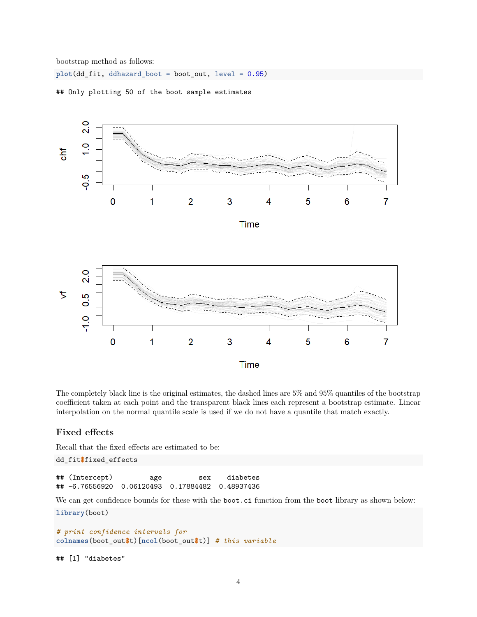bootstrap method as follows:

**plot**(dd\_fit, ddhazard\_boot = boot\_out, level = 0.95)



## Only plotting 50 of the boot sample estimates

The completely black line is the original estimates, the dashed lines are 5% and 95% quantiles of the bootstrap coefficient taken at each point and the transparent black lines each represent a bootstrap estimate. Linear interpolation on the normal quantile scale is used if we do not have a quantile that match exactly.

### **Fixed effects**

Recall that the fixed effects are estimated to be:

dd\_fit**\$**fixed\_effects

## (Intercept) age sex diabetes ## -6.76556920 0.06120493 0.17884482 0.48937436

We can get confidence bounds for these with the boot.ci function from the boot library as shown below:

**library**(boot)

```
# print confidence intervals for
colnames(boot_out$t)[ncol(boot_out$t)] # this variable
```
## [1] "diabetes"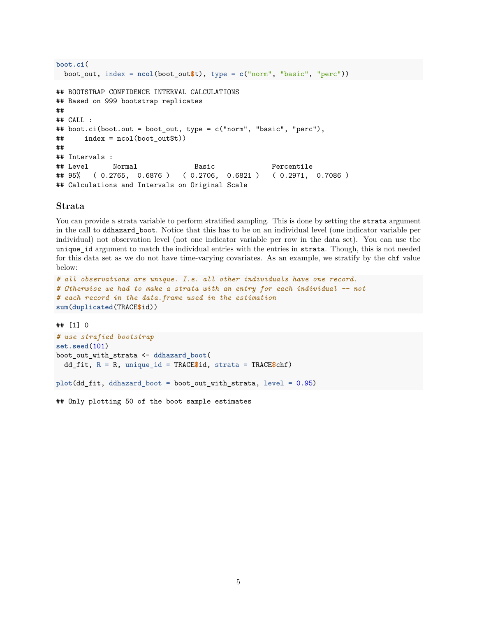```
boot.ci(
 boot_out, index = ncol(boot_out$t), type = c("norm", "basic", "perc"))
## BOOTSTRAP CONFIDENCE INTERVAL CALCULATIONS
## Based on 999 bootstrap replicates
##
## CALL :
## boot.ci(boot.out = boot_out, type = c("norm", "basic", "perc"),
## index = ncol(boot_out$t))
##
## Intervals :
## Level Normal Basic Percentile
## 95% ( 0.2765, 0.6876 ) ( 0.2706, 0.6821 ) ( 0.2971, 0.7086 )
## Calculations and Intervals on Original Scale
```
#### **Strata**

You can provide a strata variable to perform stratified sampling. This is done by setting the strata argument in the call to ddhazard\_boot. Notice that this has to be on an individual level (one indicator variable per individual) not observation level (not one indicator variable per row in the data set). You can use the unique\_id argument to match the individual entries with the entries in strata. Though, this is not needed for this data set as we do not have time-varying covariates. As an example, we stratify by the chf value below:

```
# all observations are unique. I.e. all other individuals have one record.
# Otherwise we had to make a strata with an entry for each individual -- not
# each record in the data.frame used in the estimation
sum(duplicated(TRACE$id))
```
## [1] 0

```
# use strafied bootstrap
set.seed(101)
boot_out_with_strata <- ddhazard_boot(
  dd_fit, R = R, unique_id = TRACE$id, strata = TRACE$chf)
```

```
plot(dd_fit, ddhazard_boot = boot_out_with_strata, level = 0.95)
```
## Only plotting 50 of the boot sample estimates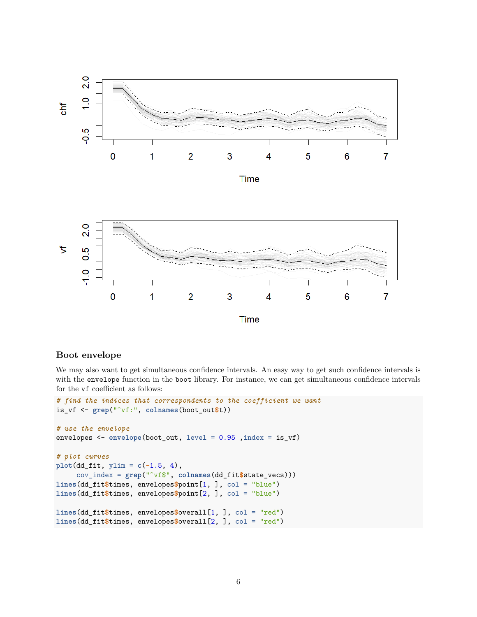

### **Boot envelope**

We may also want to get simultaneous confidence intervals. An easy way to get such confidence intervals is with the envelope function in the boot library. For instance, we can get simultaneous confidence intervals for the vf coefficient as follows:

```
# find the indices that correspondents to the coefficient we want
is_vf <- grep("^vf:", colnames(boot_out$t))
# use the envelope
envelopes <- envelope(boot_out, level = 0.95 ,index = is_vf)
# plot curves
plot(dd_fit, ylim = c(-1.5, 4),
     cov_index = grep("^vf$", colnames(dd_fit$state_vecs)))
lines(dd_fit$times, envelopes$point[1, ], col = "blue")
lines(dd_fit$times, envelopes$point[2, ], col = "blue")
lines(dd_fit$times, envelopes$overall[1, ], col = "red")
lines(dd_fit$times, envelopes$overall[2, ], col = "red")
```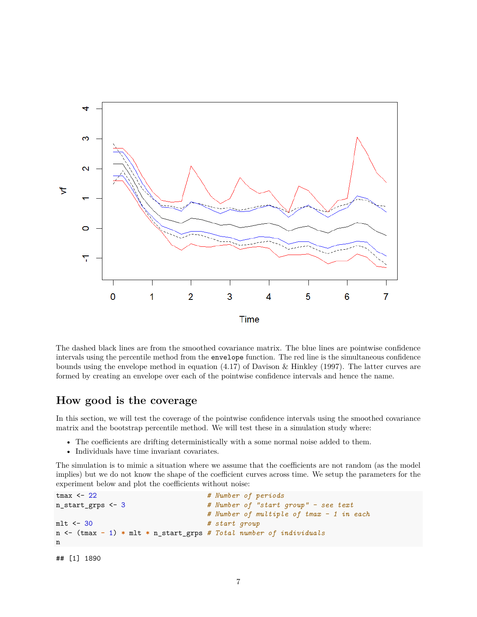

The dashed black lines are from the smoothed covariance matrix. The blue lines are pointwise confidence intervals using the percentile method from the envelope function. The red line is the simultaneous confidence bounds using the envelope method in equation (4.17) of Davison & Hinkley (1997). The latter curves are formed by creating an envelope over each of the pointwise confidence intervals and hence the name.

## **How good is the coverage**

In this section, we will test the coverage of the pointwise confidence intervals using the smoothed covariance matrix and the bootstrap percentile method. We will test these in a simulation study where:

- The coefficients are drifting deterministically with a some normal noise added to them.
- Individuals have time invariant covariates.

The simulation is to mimic a situation where we assume that the coefficients are not random (as the model implies) but we do not know the shape of the coefficient curves across time. We setup the parameters for the experiment below and plot the coefficients without noise:

```
tmax <- 22 # Number of periods
n_start_grps <- 3 # Number of "start group" - see text
                            # Number of multiple of tmax - 1 in each
mlt <- 30 # start group
n <- (tmax - 1) * mlt * n_start_grps # Total number of individuals
n
```

```
## [1] 1890
```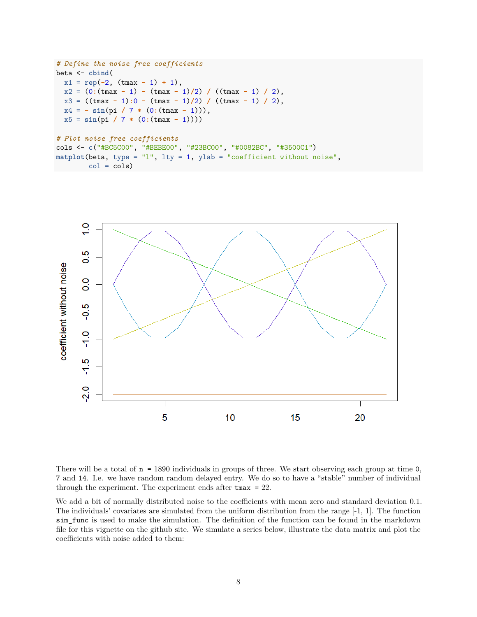```
# Define the noise free coefficients
beta <- cbind(
  x1 = rep(-2, (tmax - 1) + 1),x^2 = (0:(\text{tmax} - 1) - (\text{tmax} - 1)/2) / ((\text{tmax} - 1) / 2),x3 = ((tmax - 1):0 - (tmax - 1)/2) / ((tmax - 1) / 2),
  x4 = - \sin(pi / 7 * (0:(tmax - 1))),x5 = sin(pi / 7 * (0:(tmax - 1))))
# Plot noise free coefficients
cols <- c("#BC5C00", "#BEBE00", "#23BC00", "#0082BC", "#3500C1")
matplot(beta, type = "l", lty = 1, ylab = "coefficient without noise",
        col = cols)
```


There will be a total of  $n = 1890$  individuals in groups of three. We start observing each group at time  $0$ , 7 and 14. I.e. we have random random delayed entry. We do so to have a "stable" number of individual through the experiment. The experiment ends after tmax = 22.

We add a bit of normally distributed noise to the coefficients with mean zero and standard deviation 0.1. The individuals' covariates are simulated from the uniform distribution from the range  $[-1, 1]$ . The function sim\_func is used to make the simulation. The definition of the function can be found in the markdown file for this vignette on the github site. We simulate a series below, illustrate the data matrix and plot the coefficients with noise added to them: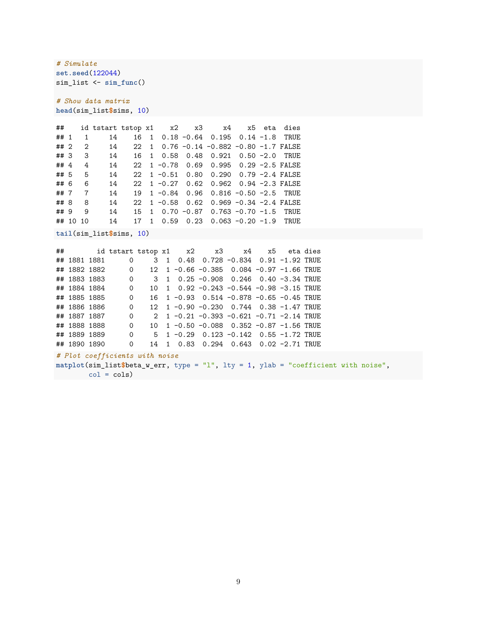*# Simulate* **set.seed**(122044) sim\_list <- **sim\_func**()

*# Show data matrix* **head**(sim\_list**\$**sims, 10)

| ##     |          |                | id tstart tstop x1 x2 x3 x4 x5 eta dies |    |              |  |                                                                                           |  |  |
|--------|----------|----------------|-----------------------------------------|----|--------------|--|-------------------------------------------------------------------------------------------|--|--|
| ## 1   |          | $\overline{1}$ | 14                                      |    |              |  | 16 1 0.18 -0.64 0.195 0.14 -1.8 TRUE                                                      |  |  |
| ## 2   |          | $2^{\circ}$    | 14                                      |    |              |  | 22 1 0.76 -0.14 -0.882 -0.80 -1.7 FALSE                                                   |  |  |
| ## 3   |          | 3 <sup>3</sup> | 14                                      |    |              |  | 16 1 0.58 0.48 0.921 0.50 -2.0 TRUE                                                       |  |  |
| ## $4$ |          | 4              | 14                                      |    |              |  | 22 1 -0.78 0.69 0.995 0.29 -2.5 FALSE                                                     |  |  |
| ## 5   |          | 5              | 14                                      |    |              |  | 22 1 -0.51 0.80 0.290 0.79 -2.4 FALSE                                                     |  |  |
| ## 6   |          | 6              | 14                                      |    |              |  | 22 1 -0.27 0.62 0.962 0.94 -2.3 FALSE                                                     |  |  |
| ## 7   |          | $\overline{7}$ | 14                                      |    |              |  | 19 1 -0.84 0.96 0.816 -0.50 -2.5 TRUE                                                     |  |  |
| ## 8   |          | 8              | 14                                      |    |              |  | $22 \quad 1 \quad -0.58 \quad 0.62 \quad 0.969 \quad -0.34 \quad -2.4 \quad \text{FALSE}$ |  |  |
| ## 9   |          | 9              | 14                                      |    |              |  | 15 1 0.70 -0.87 0.763 -0.70 -1.5 TRUE                                                     |  |  |
|        | ## 10 10 |                | 14                                      | 17 | $\mathbf{1}$ |  | $0.59$ 0.23 0.063 -0.20 -1.9 TRUE                                                         |  |  |

**tail**(sim\_list**\$**sims, 10)

|              |                |  |  | ## id tstart tstop x1 x2 x3 x4 x5 eta dies |  |  |
|--------------|----------------|--|--|--------------------------------------------|--|--|
| ## 1881 1881 | $\overline{O}$ |  |  | 3 1 0.48 0.728 -0.834 0.91 -1.92 TRUE      |  |  |
| ## 1882 1882 | $\overline{0}$ |  |  | 12 1 -0.66 -0.385 0.084 -0.97 -1.66 TRUE   |  |  |
| ## 1883 1883 | $\overline{0}$ |  |  | 3 1 0.25 -0.908 0.246 0.40 -3.34 TRUE      |  |  |
| ## 1884 1884 | $\overline{0}$ |  |  | 10 1 0.92 $-0.243 -0.544 -0.98 -3.15$ TRUE |  |  |
| ## 1885 1885 | $\overline{0}$ |  |  | 16 1 -0.93 0.514 -0.878 -0.65 -0.45 TRUE   |  |  |
| ## 1886 1886 | $\overline{0}$ |  |  | 12 1 -0.90 -0.230 0.744 0.38 -1.47 TRUE    |  |  |
| ## 1887 1887 | $\overline{0}$ |  |  | 2 1 -0.21 -0.393 -0.621 -0.71 -2.14 TRUE   |  |  |
| ## 1888 1888 | $\overline{0}$ |  |  | 10 1 -0.50 -0.088 0.352 -0.87 -1.56 TRUE   |  |  |
| ## 1889 1889 | $\overline{0}$ |  |  | $5$ 1 -0.29 0.123 -0.142 0.55 -1.72 TRUE   |  |  |
| ## 1890 1890 | $\Omega$       |  |  | 14 1 0.83 0.294 0.643 0.02 -2.71 TRUE      |  |  |

*# Plot coefficients with noise*

```
matplot(sim_list$beta_w_err, type = "l", lty = 1, ylab = "coefficient with noise",
     col = cols)
```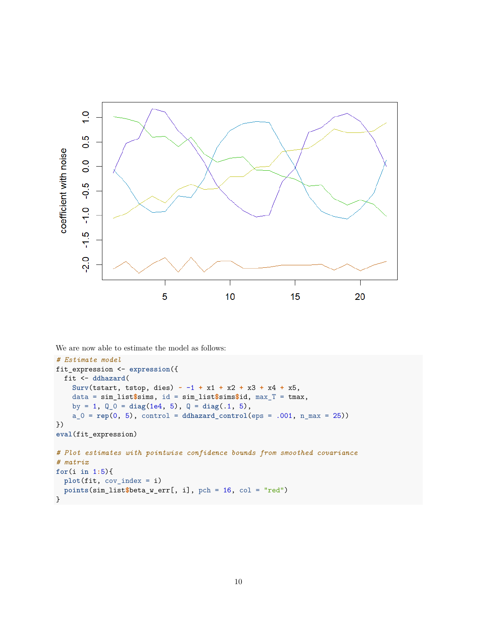

We are now able to estimate the model as follows:

```
# Estimate model
fit_expression <- expression({
  fit <- ddhazard(
    Surv(tstart, tstop, dies) ~ -1 + x1 + x2 + x3 + x4 + x5,
    data = sim_list$sims, id = sim_list$sims$id, max_T = tmax,
    by = 1, Q_0 = diag(1e4, 5), Q = diag(.1, 5),
    a_0 = rep(0, 5), control = ddhazard_control(eps = .001, n_max = 25))
})
eval(fit_expression)
# Plot estimates with pointwise confidence bounds from smoothed covariance
# matrix
for(i in 1:5){
  plot(fit, cov_index = i)
  points(sim_list$beta_w_err[, i], pch = 16, col = "red")
}
```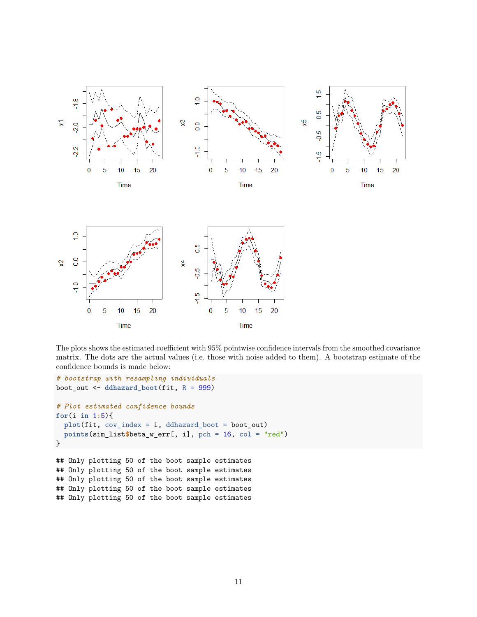

The plots shows the estimated coefficient with 95% pointwise confidence intervals from the smoothed covariance matrix. The dots are the actual values (i.e. those with noise added to them). A bootstrap estimate of the confidence bounds is made below:

```
# bootstrap with resampling individuals
boot_out <- ddhazard_boot(fit, R = 999)
# Plot estimated confidence bounds
for(i in 1:5){
  plot(fit, cov_index = i, ddhazard_boot = boot_out)
  points(sim_list$beta_w_err[, i], pch = 16, col = "red")
}
## Only plotting 50 of the boot sample estimates
## Only plotting 50 of the boot sample estimates
## Only plotting 50 of the boot sample estimates
## Only plotting 50 of the boot sample estimates
## Only plotting 50 of the boot sample estimates
```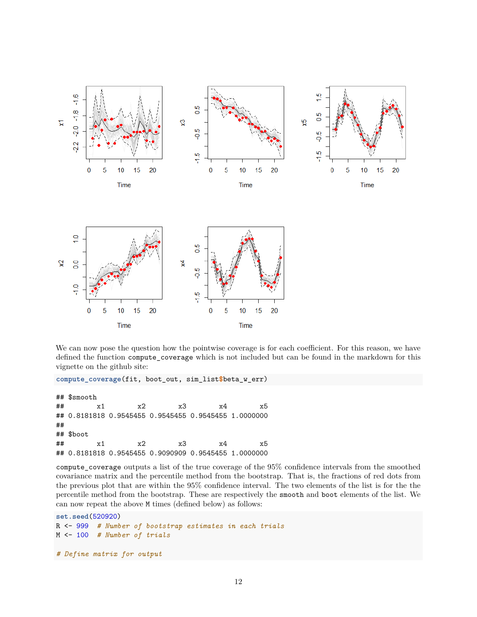

We can now pose the question how the pointwise coverage is for each coefficient. For this reason, we have defined the function compute\_coverage which is not included but can be found in the markdown for this vignette on the github site:

**compute\_coverage**(fit, boot\_out, sim\_list**\$**beta\_w\_err)

## \$smooth ## x1 x2 x3 x4 x5 ## 0.8181818 0.9545455 0.9545455 0.9545455 1.0000000 ## ## \$boot ## x1 x2 x3 x4 x5 ## 0.8181818 0.9545455 0.9090909 0.9545455 1.0000000

compute\_coverage outputs a list of the true coverage of the 95% confidence intervals from the smoothed covariance matrix and the percentile method from the bootstrap. That is, the fractions of red dots from the previous plot that are within the 95% confidence interval. The two elements of the list is for the the percentile method from the bootstrap. These are respectively the smooth and boot elements of the list. We can now repeat the above M times (defined below) as follows:

```
set.seed(520920)
R <- 999 # Number of bootstrap estimates in each trials
M <- 100 # Number of trials
```
*# Define matrix for output*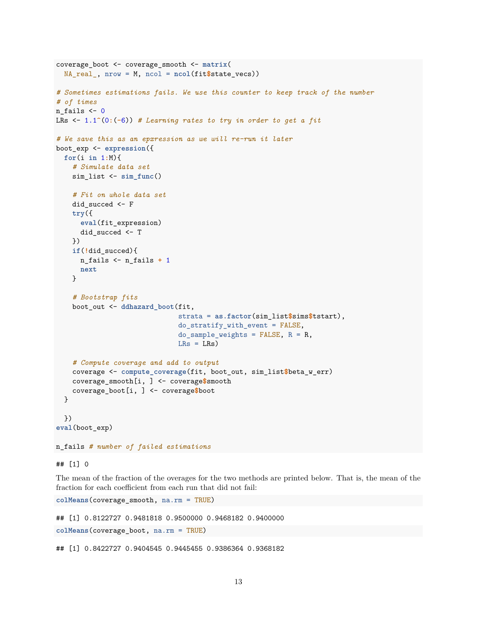```
coverage_boot <- coverage_smooth <- matrix(
 NA_real_, nrow = M, ncol = ncol(fit$state_vecs))
# Sometimes estimations fails. We use this counter to keep track of the number
# of times
n fails <-0LRs <- 1.1^(0:(-6)) # Learning rates to try in order to get a fit
# We save this as an epxression as we will re-run it later
boot_exp <- expression({
 for(i in 1:M){
   # Simulate data set
   sim_list <- sim_func()
   # Fit on whole data set
   did_succed <- F
   try({
     eval(fit_expression)
     did_succed <- T
   })
   if(!did_succed){
     n_fails <- n_fails + 1
     next
   }
    # Bootstrap fits
   boot_out <- ddhazard_boot(fit,
                              strata = as.factor(sim_list$sims$tstart),
                              do_stratify_with_event = FALSE,
                              do_sample_weights = FALSE, R = R,
                              LRs = LRs)
    # Compute coverage and add to output
   coverage <- compute_coverage(fit, boot_out, sim_list$beta_w_err)
   coverage_smooth[i, ] <- coverage$smooth
    coverage_boot[i, ] <- coverage$boot
  }
 })
eval(boot_exp)
n_fails # number of failed estimations
```
## [1] 0

The mean of the fraction of the overages for the two methods are printed below. That is, the mean of the fraction for each coefficient from each run that did not fail:

**colMeans**(coverage\_smooth, na.rm = TRUE)

## [1] 0.8122727 0.9481818 0.9500000 0.9468182 0.9400000

**colMeans**(coverage\_boot, na.rm = TRUE)

## [1] 0.8422727 0.9404545 0.9445455 0.9386364 0.9368182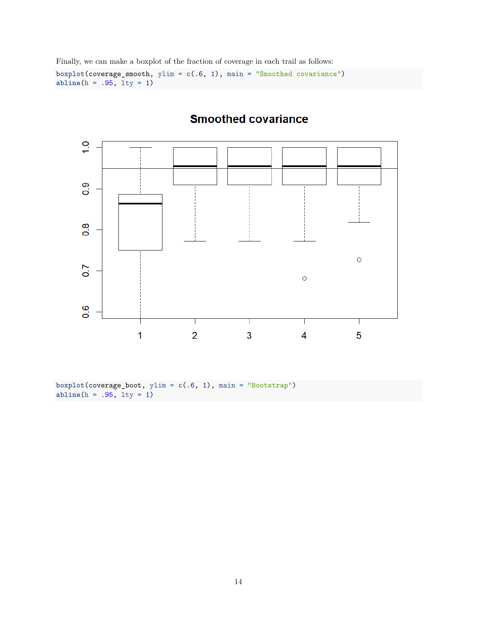Finally, we can make a boxplot of the fraction of coverage in each trail as follows:

**boxplot**(coverage\_smooth, ylim = **c**(.6, 1), main = "Smoothed covariance") **abline**(h = .95, lty = 1)



# **Smoothed covariance**

**boxplot**(coverage\_boot, ylim = **c**(.6, 1), main = "Bootstrap")  $abline(h = .95, 1ty = 1)$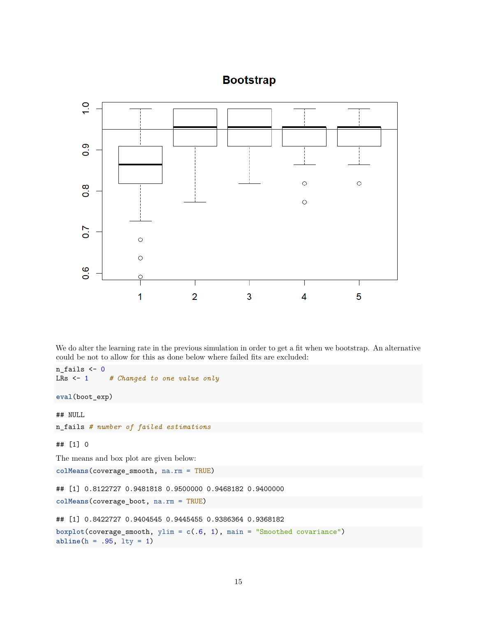## **Bootstrap**



We do alter the learning rate in the previous simulation in order to get a fit when we bootstrap. An alternative could be not to allow for this as done below where failed fits are excluded:

```
n_fails \leftarrow 0
LRs <- 1 # Changed to one value only
eval(boot_exp)
## NULL
n_fails # number of failed estimations
## [1] 0
The means and box plot are given below:
colMeans(coverage_smooth, na.rm = TRUE)
## [1] 0.8122727 0.9481818 0.9500000 0.9468182 0.9400000
colMeans(coverage_boot, na.rm = TRUE)
## [1] 0.8422727 0.9404545 0.9445455 0.9386364 0.9368182
boxplot(coverage_smooth, ylim = c(.6, 1), main = "Smoothed covariance")
```

```
abline(h = .95, lty = 1)
```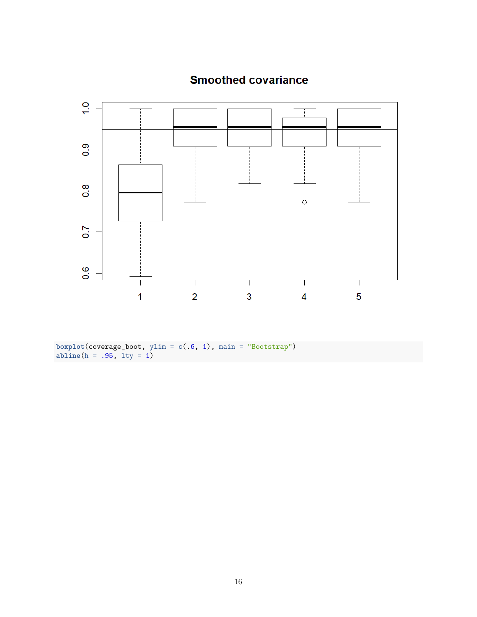

# **Smoothed covariance**

**boxplot**(coverage\_boot, ylim = **c**(.6, 1), main = "Bootstrap") **abline**(h = .95, lty = 1)